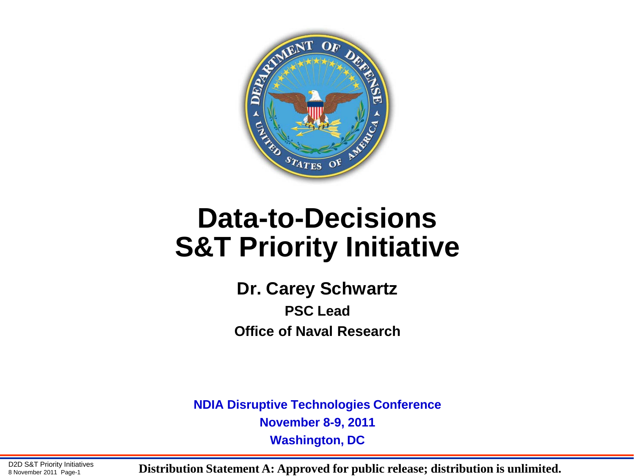

## **Data-to-Decisions S&T Priority Initiative**

**Dr. Carey Schwartz PSC Lead Office of Naval Research**

**NDIA Disruptive Technologies Conference November 8-9, 2011 Washington, DC**

D2D S&T Priority Initiatives<br>8 November 2011 Page-1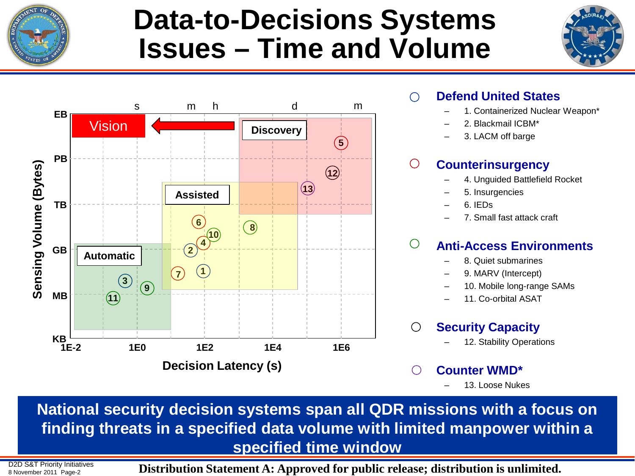

## **Data-to-Decisions Systems Issues – Time and Volume**





#### • **Defend United States**

- 1. Containerized Nuclear Weapon\*
- 2. Blackmail ICBM\*
- 3. LACM off barge

#### • **Counterinsurgency**

- 4. Unguided Battlefield Rocket
- 5. Insurgencies
- 6. IEDs
- 7. Small fast attack craft

### • **Anti-Access Environments**

- 8. Quiet submarines
- 9. MARV (Intercept)
- 10. Mobile long-range SAMs
- 11. Co-orbital ASAT

### • **Security Capacity**

- 12. Stability Operations
- **Counter WMD\***
	- 13. Loose Nukes

**National security decision systems span all QDR missions with a focus on finding threats in a specified data volume with limited manpower within a specified time window**

D2D S&T Priority Initiatives

 $\frac{BZD}{8}$  November 2011 Page-2 **Distribution Statement A: Approved for public release; distribution is unlimited.**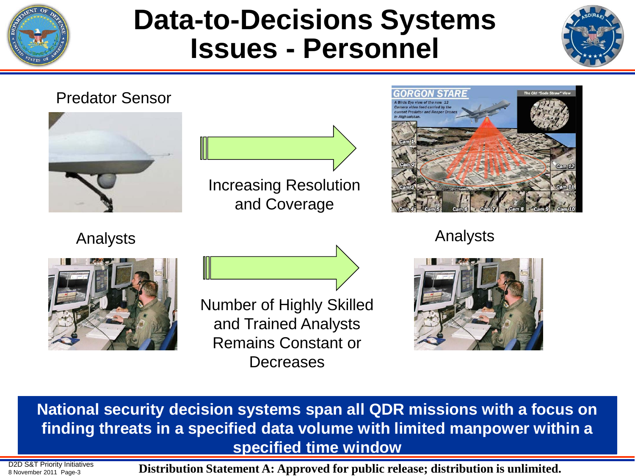

## **Data-to-Decisions Systems Issues - Personnel**





**National security decision systems span all QDR missions with a focus on finding threats in a specified data volume with limited manpower within a specified time window**

D2D S&T Priority Initiatives

D2D S&T Priority Initiatives **Distribution Statement A: Approved for public release; distribution is unlimited.**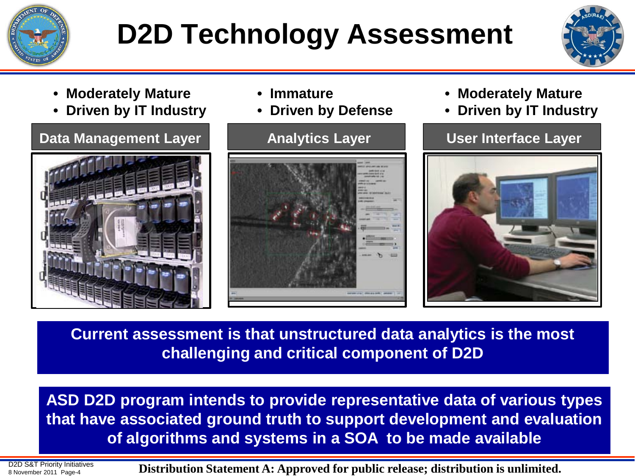

# **D2D Technology Assessment**



- **Moderately Mature**
- **Driven by IT Industry**



- **Immature**
- **Driven by Defense**



- **Moderately Mature**
- **Driven by IT Industry**



**Current assessment is that unstructured data analytics is the most challenging and critical component of D2D**

**ASD D2D program intends to provide representative data of various types that have associated ground truth to support development and evaluation of algorithms and systems in a SOA to be made available**

D2D S&T Priority Initiatives<br>8 November 2011 Page-4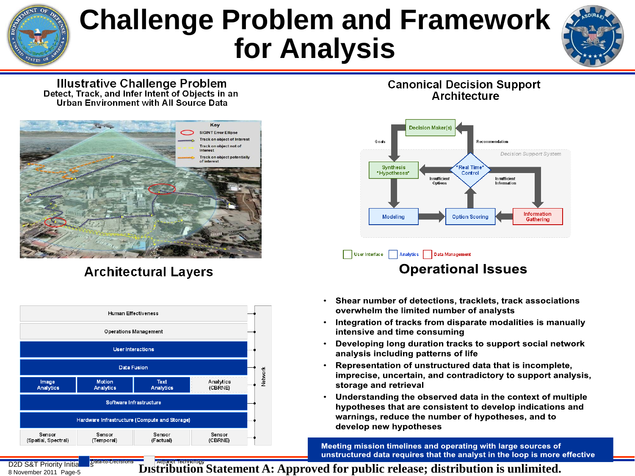## **Challenge Problem and Framework for Analysis**



**Illustrative Challenge Problem** Detect, Track, and Infer Intent of Objects in an Urban Environment with All Source Data



### **Architectural Lavers**



#### **Canonical Decision Support** Architecture



### **Operational Issues**

- Shear number of detections, tracklets, track associations  $\bullet$  . overwhelm the limited number of analysts
- Integration of tracks from disparate modalities is manually intensive and time consuming
- Developing long duration tracks to support social network analysis including patterns of life
- Representation of unstructured data that is incomplete, imprecise, uncertain, and contradictory to support analysis, storage and retrieval
- Understanding the observed data in the context of multiple hypotheses that are consistent to develop indications and warnings, reduce the number of hypotheses, and to develop new hypotheses

Meeting mission timelines and operating with large sources of unstructured data requires that the analyst in the loop is more effective

D2D S&T Priority Initial<br>8 November 2011 Page-5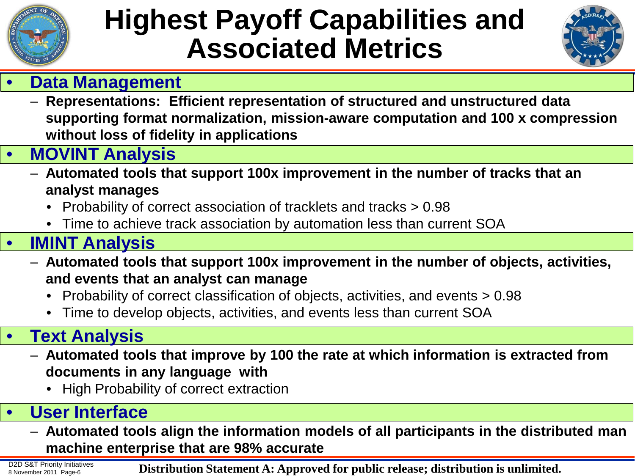

## **Highest Payoff Capabilities and Associated Metrics**



### • **Data Management**

– **Representations: Efficient representation of structured and unstructured data supporting format normalization, mission-aware computation and 100 x compression without loss of fidelity in applications**

### • **MOVINT Analysis**

- **Automated tools that support 100x improvement in the number of tracks that an analyst manages** 
	- Probability of correct association of tracklets and tracks > 0.98
	- Time to achieve track association by automation less than current SOA

### • **IMINT Analysis**

- **Automated tools that support 100x improvement in the number of objects, activities, and events that an analyst can manage** 
	- Probability of correct classification of objects, activities, and events > 0.98
	- Time to develop objects, activities, and events less than current SOA

### • **Text Analysis**

- **Automated tools that improve by 100 the rate at which information is extracted from documents in any language with**
	- High Probability of correct extraction

### • **User Interface**

– **Automated tools align the information models of all participants in the distributed man machine enterprise that are 98% accurate**

D2D S&T Priority Initiatives<br>8 November 2011 Page-6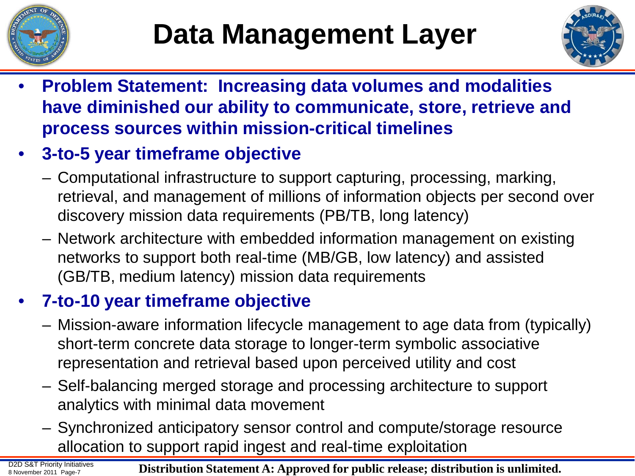



- **Problem Statement: Increasing data volumes and modalities have diminished our ability to communicate, store, retrieve and process sources within mission-critical timelines**
- **3-to-5 year timeframe objective**
	- Computational infrastructure to support capturing, processing, marking, retrieval, and management of millions of information objects per second over discovery mission data requirements (PB/TB, long latency)
	- Network architecture with embedded information management on existing networks to support both real-time (MB/GB, low latency) and assisted (GB/TB, medium latency) mission data requirements

### • **7-to-10 year timeframe objective**

- Mission-aware information lifecycle management to age data from (typically) short-term concrete data storage to longer-term symbolic associative representation and retrieval based upon perceived utility and cost
- Self-balancing merged storage and processing architecture to support analytics with minimal data movement
- Synchronized anticipatory sensor control and compute/storage resource allocation to support rapid ingest and real-time exploitation

D2D S&T Priority Initiatives<br>8 November 2011 Page-7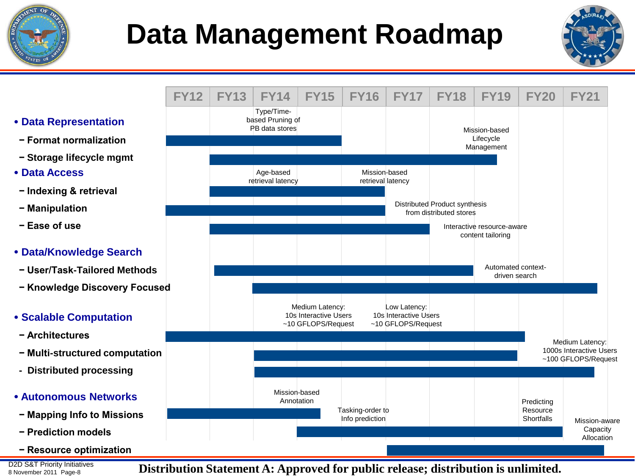

# **Data Management Roadmap**



- **Data Representation**
- **− Format normalization**
- **− Storage lifecycle mgmt**
- **Data Access**
- **− Indexing & retrieval**
- **− Manipulation**
- **− Ease of use**
- **Data/Knowledge Search**
- **− User/Task-Tailored Methods**
- **− Knowledge Discovery Focused**

#### **Scalable Computation**

- **− Architectures**
- **− Multi-structured computation**
- **Distributed processing**

#### **Autonomous Networks**

- **− Mapping Info to Missions**
- **− Prediction models**
- **− Resource optimization**

D2D S&T Priority Initiatives<br>8 November 2011 Page-8

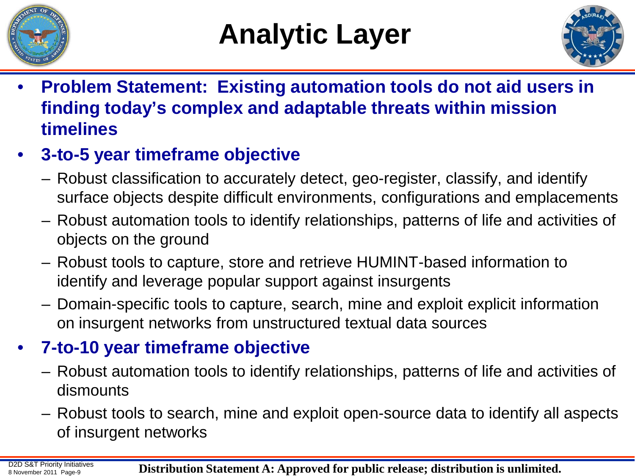



- **Problem Statement: Existing automation tools do not aid users in finding today's complex and adaptable threats within mission timelines**
- **3-to-5 year timeframe objective**
	- Robust classification to accurately detect, geo-register, classify, and identify surface objects despite difficult environments, configurations and emplacements
	- Robust automation tools to identify relationships, patterns of life and activities of objects on the ground
	- Robust tools to capture, store and retrieve HUMINT-based information to identify and leverage popular support against insurgents
	- Domain-specific tools to capture, search, mine and exploit explicit information on insurgent networks from unstructured textual data sources

### • **7-to-10 year timeframe objective**

- Robust automation tools to identify relationships, patterns of life and activities of dismounts
- Robust tools to search, mine and exploit open-source data to identify all aspects of insurgent networks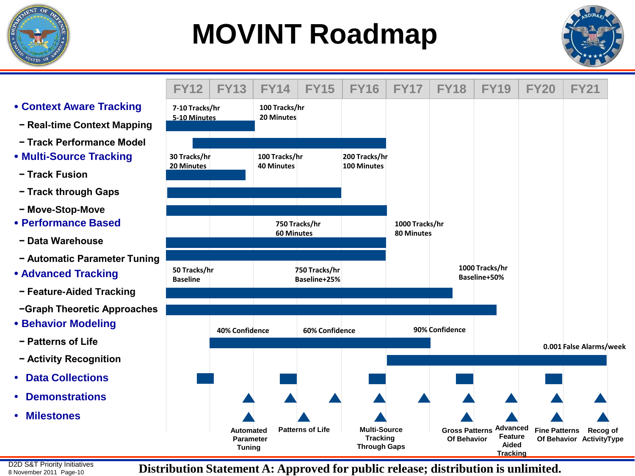

## **MOVINT Roadmap**



#### **Context Aware Tracking**

- **− Real-time Context Mapping**
- **− Track Performance Model**
- **Multi-Source Tracking**
- **− Track Fusion**
- **− Track through Gaps**
- **− Move-Stop-Move**
- **Performance Based**
- **− Data Warehouse**
- **− Automatic Parameter Tuning**
- **Advanced Tracking**
- **− Feature-Aided Tracking**
- **−Graph Theoretic Approaches**
- **Behavior Modeling**
- **− Patterns of Life**
- **− Activity Recognition**
- **Data Collections**
- **Demonstrations**
- **Milestones**

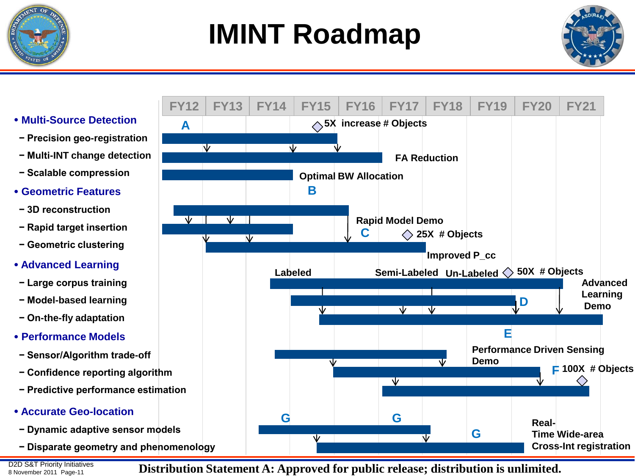

## **IMINT Roadmap**



- **Multi-Source Detection**
- **− Precision geo-registration**

**A** 

- **− Multi-INT change detection**
- **− Scalable compression**
- **Geometric Features**
- **− 3D reconstruction**
- **− Rapid target insertion**
- **− Geometric clustering**
- **Advanced Learning**
- **− Large corpus training**
- **− Model-based learning**
- **− On-the-fly adaptation**
- **Performance Models**
- **− Sensor/Algorithm trade-off**
- **− Confidence reporting algorithm**
- **− Predictive performance estimation**
- **Accurate Geo-location**
- **− Dynamic adaptive sensor models**
- **− Disparate geometry and phenomenology**

D2D S&T Priority Initiatives<br>8 November 2011 Page-11

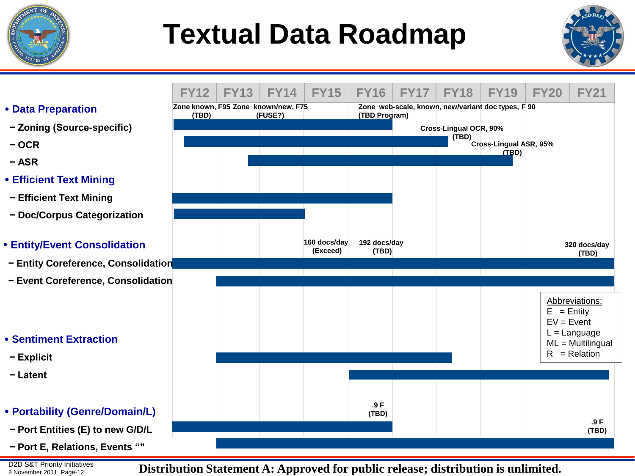

## **Textual Data Roadmap**



- **Data Preparation**
- **− Zoning (Source-specific)**
- **− OCR**
- **− ASR**
- **Efficient Text Mining**
- **− Efficient Text Mining**
- **− Doc/Corpus Categorization**
- **Entity/Event Consolidation**
- **− Entity Coreference, Consolidation**
- **− Event Coreference, Consolidation**
- **Sentiment Extraction**
- **− Explicit**
- **− Latent**
- **Portability (Genre/Domain/L)**
- **− Port Entities (E) to new G/D/L**
- **− Port E, Relations, Events ""**

D2D S&T Priority Initiatives **Distribution Statement A: Approved for public release; distribution is unlimited.** 

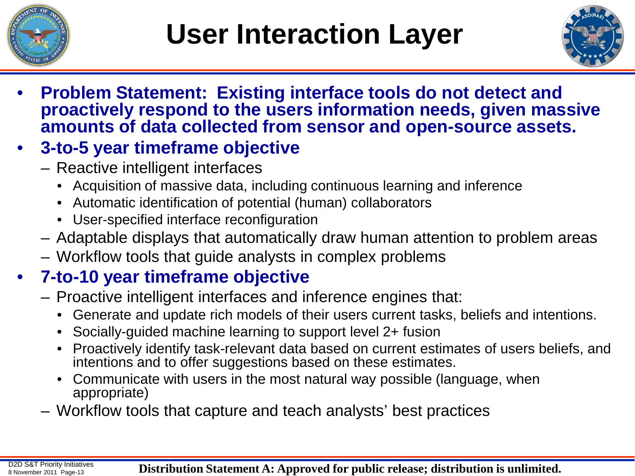



• **Problem Statement: Existing interface tools do not detect and proactively respond to the users information needs, given massive amounts of data collected from sensor and open-source assets.**

### • **3-to-5 year timeframe objective**

- Reactive intelligent interfaces
	- Acquisition of massive data, including continuous learning and inference
	- Automatic identification of potential (human) collaborators
	- User-specified interface reconfiguration
- Adaptable displays that automatically draw human attention to problem areas
- Workflow tools that guide analysts in complex problems

### • **7-to-10 year timeframe objective**

- Proactive intelligent interfaces and inference engines that:
	- Generate and update rich models of their users current tasks, beliefs and intentions.
	- Socially-guided machine learning to support level 2+ fusion
	- Proactively identify task-relevant data based on current estimates of users beliefs, and intentions and to offer suggestions based on these estimates.
	- Communicate with users in the most natural way possible (language, when appropriate)
- Workflow tools that capture and teach analysts' best practices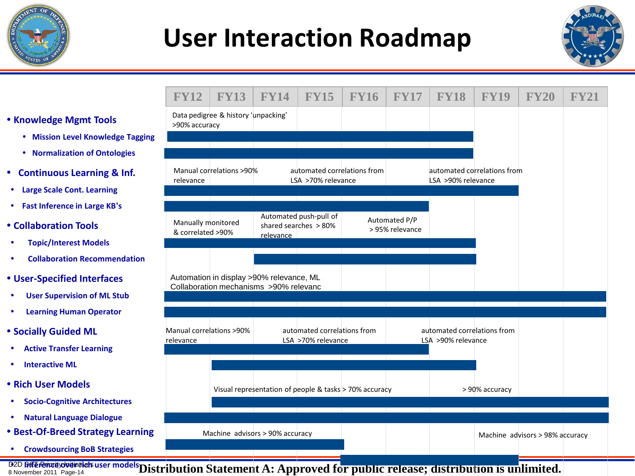

## **User Interaction Roadmap**



#### **Knowledge Mgmt Tools**

- **Mission Level Knowledge Tagging**
- **Normalization of Ontologies**
- **Continuous Learning & Inf.**
- **Large Scale Cont. Learning**
- **Fast Inference in Large KB's**
- **Collaboration Tools**
- **Topic/Interest Models**
- **Collaboration Recommendation**
- **User-Specified Interfaces**
- **User Supervision of ML Stub**
- **Learning Human Operator**
- **Socially Guided ML**
- **Active Transfer Learning**
- **Interactive ML**
- **Rich User Models**
- **•** Socio-Cognitive Architectures
- **Natural Language Dialogue**
- **Best-Of-Breed Strategy Learning**
- **Crowdsourcing BoB Strategies**

| <b>FY12</b>                             | <b>FY13</b>                                                                        | <b>FY14</b>                                       | <b>FY15</b>                                       | <b>FY16</b>                                                     | <b>FY17</b>                                       | <b>FY18</b>                                                                                                           | <b>FY19</b>    | <b>FY20</b>                     | <b>FY21</b> |
|-----------------------------------------|------------------------------------------------------------------------------------|---------------------------------------------------|---------------------------------------------------|-----------------------------------------------------------------|---------------------------------------------------|-----------------------------------------------------------------------------------------------------------------------|----------------|---------------------------------|-------------|
|                                         | Data pedigree & history 'unpacking'                                                |                                                   |                                                   |                                                                 |                                                   |                                                                                                                       |                |                                 |             |
| >90% accuracy                           |                                                                                    |                                                   |                                                   |                                                                 |                                                   |                                                                                                                       |                |                                 |             |
|                                         |                                                                                    |                                                   |                                                   |                                                                 |                                                   |                                                                                                                       |                |                                 |             |
| relevance                               | Manual correlations >90%                                                           | automated correlations from<br>LSA >70% relevance |                                                   |                                                                 | automated correlations from<br>LSA >90% relevance |                                                                                                                       |                |                                 |             |
|                                         |                                                                                    |                                                   |                                                   | <u> 1989 - Johann Stoff, fransk politik (f. 1989)</u>           |                                                   |                                                                                                                       |                |                                 |             |
| Manually monitored<br>& correlated >90% |                                                                                    | relevance                                         | Automated push-pull of<br>shared searches > 80%   |                                                                 | Automated P/P<br>> 95% relevance                  |                                                                                                                       |                |                                 |             |
|                                         |                                                                                    |                                                   |                                                   |                                                                 |                                                   |                                                                                                                       |                |                                 |             |
|                                         | Automation in display >90% relevance, ML<br>Collaboration mechanisms >90% relevanc |                                                   |                                                   |                                                                 |                                                   |                                                                                                                       |                |                                 |             |
|                                         |                                                                                    |                                                   |                                                   |                                                                 |                                                   | <u> 1989 - Jan Salaman, masjid a shekara ta 1989 - An tsara ta 1989 - An tsara ta 1989 - An tsara ta 1989 - An ts</u> |                |                                 |             |
| Manual correlations >90%<br>relevance   |                                                                                    |                                                   | automated correlations from<br>LSA >70% relevance |                                                                 |                                                   | automated correlations from<br>LSA >90% relevance                                                                     |                |                                 |             |
|                                         |                                                                                    | the contract of the contract of the contract      |                                                   | the contract of the contract of the contract of the contract of |                                                   |                                                                                                                       |                |                                 |             |
|                                         |                                                                                    |                                                   |                                                   | Visual representation of people & tasks > 70% accuracy          |                                                   |                                                                                                                       | > 90% accuracy |                                 |             |
|                                         |                                                                                    |                                                   |                                                   |                                                                 |                                                   |                                                                                                                       |                |                                 |             |
|                                         | Machine advisors > 90% accuracy                                                    |                                                   |                                                   |                                                                 |                                                   |                                                                                                                       |                | Machine advisors > 98% accuracy |             |

D2D <del>BdTelemadyOndielings</del> user models **Distribution Statement A: Approved fo<mark>r public release; distribution is un</mark>limited.**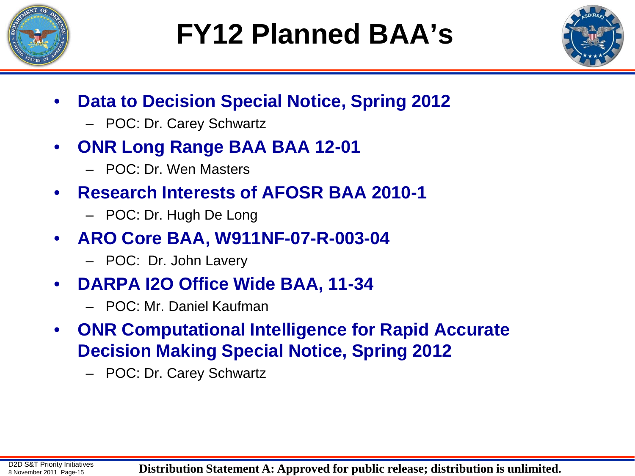



- **Data to Decision Special Notice, Spring 2012**
	- POC: Dr. Carey Schwartz
- **ONR Long Range BAA BAA 12-01**
	- POC: Dr. Wen Masters
- **Research Interests of AFOSR BAA 2010-1**
	- POC: Dr. Hugh De Long
- **ARO Core BAA, W911NF-07-R-003-04**
	- POC: Dr. John Lavery
- **DARPA I2O Office Wide BAA, 11-34**
	- POC: Mr. Daniel Kaufman
- **ONR Computational Intelligence for Rapid Accurate Decision Making Special Notice, Spring 2012**
	- POC: Dr. Carey Schwartz